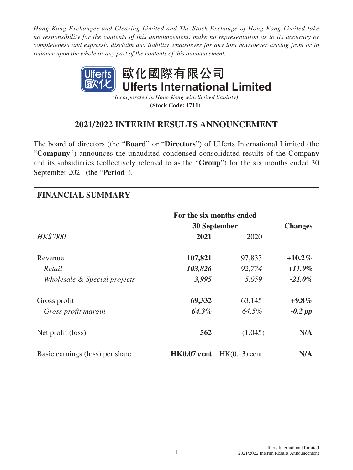*Hong Kong Exchanges and Clearing Limited and The Stock Exchange of Hong Kong Limited take no responsibility for the contents of this announcement, make no representation as to its accuracy or completeness and expressly disclaim any liability whatsoever for any loss howsoever arising from or in reliance upon the whole or any part of the contents of this announcement.*



*(Incorporated in Hong Kong with limited liability)* **(Stock Code: 1711)**

# **2021/2022 INTERIM RESULTS ANNOUNCEMENT**

The board of directors (the "**Board**" or "**Directors**") of Ulferts International Limited (the "**Company**") announces the unaudited condensed consolidated results of the Company and its subsidiaries (collectively referred to as the "**Group**") for the six months ended 30 September 2021 (the "**Period**").

| <b>FINANCIAL SUMMARY</b>        |             |                          |                |
|---------------------------------|-------------|--------------------------|----------------|
|                                 |             | For the six months ended |                |
|                                 |             | <b>30 September</b>      | <b>Changes</b> |
| <b>HK\$'000</b>                 | 2021        | 2020                     |                |
| Revenue                         | 107,821     | 97,833                   | $+10.2\%$      |
| Retail                          | 103,826     | 92,774                   | $+11.9\%$      |
| Wholesale & Special projects    | 3,995       | 5,059                    | $-21.0\%$      |
| Gross profit                    | 69,332      | 63,145                   | $+9.8\%$       |
| Gross profit margin             | 64.3%       | 64.5%                    | $-0.2$ pp      |
| Net profit (loss)               | 562         | (1,045)                  | N/A            |
| Basic earnings (loss) per share | HK0.07 cent | $HK(0.13)$ cent          | N/A            |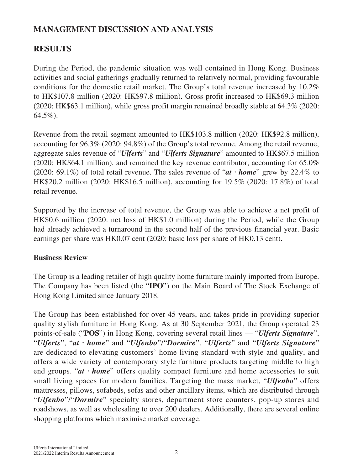# **MANAGEMENT DISCUSSION AND ANALYSIS**

# **RESULTS**

During the Period, the pandemic situation was well contained in Hong Kong. Business activities and social gatherings gradually returned to relatively normal, providing favourable conditions for the domestic retail market. The Group's total revenue increased by 10.2% to HK\$107.8 million (2020: HK\$97.8 million). Gross profit increased to HK\$69.3 million (2020: HK\$63.1 million), while gross profit margin remained broadly stable at 64.3% (2020: 64.5%).

Revenue from the retail segment amounted to HK\$103.8 million (2020: HK\$92.8 million), accounting for 96.3% (2020: 94.8%) of the Group's total revenue. Among the retail revenue, aggregate sales revenue of "*Ulferts*" and "*Ulferts Signature*" amounted to HK\$67.5 million (2020: HK\$64.1 million), and remained the key revenue contributor, accounting for 65.0% (2020: 69.1%) of total retail revenue. The sales revenue of "*at ∙ home*" grew by 22.4% to HK\$20.2 million (2020: HK\$16.5 million), accounting for 19.5% (2020: 17.8%) of total retail revenue.

Supported by the increase of total revenue, the Group was able to achieve a net profit of HK\$0.6 million (2020: net loss of HK\$1.0 million) during the Period, while the Group had already achieved a turnaround in the second half of the previous financial year. Basic earnings per share was HK0.07 cent (2020: basic loss per share of HK0.13 cent).

### **Business Review**

The Group is a leading retailer of high quality home furniture mainly imported from Europe. The Company has been listed (the "**IPO**") on the Main Board of The Stock Exchange of Hong Kong Limited since January 2018.

The Group has been established for over 45 years, and takes pride in providing superior quality stylish furniture in Hong Kong. As at 30 September 2021, the Group operated 23 points-of-sale ("**POS**") in Hong Kong, covering several retail lines — "*Ulferts Signature*", "*Ulferts*", "*at ∙ home*" and "*Ulfenbo*"/"*Dormire*". "*Ulferts*" and "*Ulferts Signature*" are dedicated to elevating customers' home living standard with style and quality, and offers a wide variety of contemporary style furniture products targeting middle to high end groups. "*at ∙ home*" offers quality compact furniture and home accessories to suit small living spaces for modern families. Targeting the mass market, "*Ulfenbo*" offers mattresses, pillows, sofabeds, sofas and other ancillary items, which are distributed through "*Ulfenbo*"/"*Dormire*" specialty stores, department store counters, pop-up stores and roadshows, as well as wholesaling to over 200 dealers. Additionally, there are several online shopping platforms which maximise market coverage.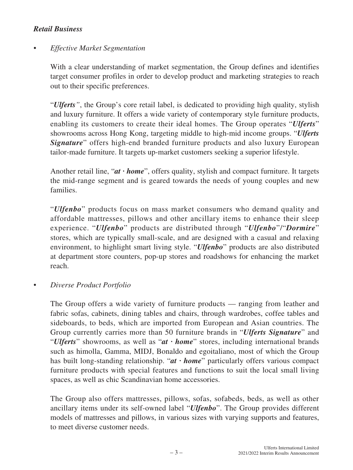# *Retail Business*

# *• Effective Market Segmentation*

With a clear understanding of market segmentation, the Group defines and identifies target consumer profiles in order to develop product and marketing strategies to reach out to their specific preferences.

"*Ulferts"*, the Group's core retail label, is dedicated to providing high quality, stylish and luxury furniture. It offers a wide variety of contemporary style furniture products, enabling its customers to create their ideal homes. The Group operates "*Ulferts*" showrooms across Hong Kong, targeting middle to high-mid income groups. "*Ulferts*  **Signature**" offers high-end branded furniture products and also luxury European tailor-made furniture. It targets up-market customers seeking a superior lifestyle.

Another retail line, "*at ∙ home*", offers quality, stylish and compact furniture. It targets the mid-range segment and is geared towards the needs of young couples and new families.

"*Ulfenbo*" products focus on mass market consumers who demand quality and affordable mattresses, pillows and other ancillary items to enhance their sleep experience. "*Ulfenbo*" products are distributed through "*Ulfenbo*"/"*Dormire*" stores, which are typically small-scale, and are designed with a casual and relaxing environment, to highlight smart living style. "*Ulfenbo*" products are also distributed at department store counters, pop-up stores and roadshows for enhancing the market reach.

*• Diverse Product Portfolio*

The Group offers a wide variety of furniture products — ranging from leather and fabric sofas, cabinets, dining tables and chairs, through wardrobes, coffee tables and sideboards, to beds, which are imported from European and Asian countries. The Group currently carries more than 50 furniture brands in "*Ulferts Signature*" and "*Ulferts*" showrooms, as well as "*at ∙ home*" stores, including international brands such as himolla, Gamma, MIDJ, Bonaldo and egoitaliano, most of which the Group has built long-standing relationship. "*at ∙ home*" particularly offers various compact furniture products with special features and functions to suit the local small living spaces, as well as chic Scandinavian home accessories.

The Group also offers mattresses, pillows, sofas, sofabeds, beds, as well as other ancillary items under its self-owned label "*Ulfenbo*". The Group provides different models of mattresses and pillows, in various sizes with varying supports and features, to meet diverse customer needs.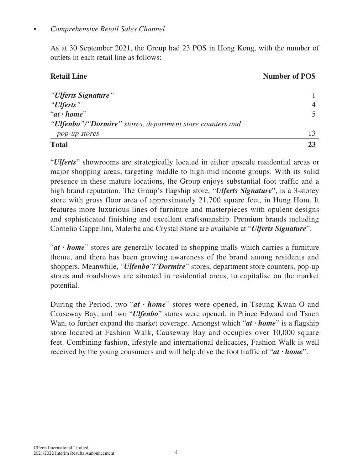### *• Comprehensive Retail Sales Channel*

As at 30 September 2021, the Group had 23 POS in Hong Kong, with the number of outlets in each retail line as follows:

# **Retail Line Number of POS**

| <b>Total</b>                                                                |  |
|-----------------------------------------------------------------------------|--|
| pop-up stores                                                               |  |
| " <b>Ulfenbo</b> "/" <b>Dormire</b> " stores, department store counters and |  |
| " $at \cdot home"$                                                          |  |
| "Ulferts"                                                                   |  |
| "Ulferts Signature"                                                         |  |

"*Ulferts*" showrooms are strategically located in either upscale residential areas or major shopping areas, targeting middle to high-mid income groups. With its solid presence in these mature locations, the Group enjoys substantial foot traffic and a high brand reputation. The Group's flagship store, "*Ulferts Signature*", is a 3-storey store with gross floor area of approximately 21,700 square feet, in Hung Hom. It features more luxurious lines of furniture and masterpieces with opulent designs and sophisticated finishing and excellent craftsmanship. Premium brands including Cornelio Cappellini, Malerba and Crystal Stone are available at "*Ulferts Signature*".

"*at ∙ home*" stores are generally located in shopping malls which carries a furniture theme, and there has been growing awareness of the brand among residents and shoppers. Meanwhile, "*Ulfenbo*"/"*Dormire*" stores, department store counters, pop-up stores and roadshows are situated in residential areas, to capitalise on the market potential.

During the Period, two "*at ∙ home*" stores were opened, in Tseung Kwan O and Causeway Bay, and two "*Ulfenbo*" stores were opened, in Prince Edward and Tsuen Wan, to further expand the market coverage. Amongst which "*at ∙ home*" is a flagship store located at Fashion Walk, Causeway Bay and occupies over 10,000 square feet. Combining fashion, lifestyle and international delicacies, Fashion Walk is well received by the young consumers and will help drive the foot traffic of "*at ∙ home*".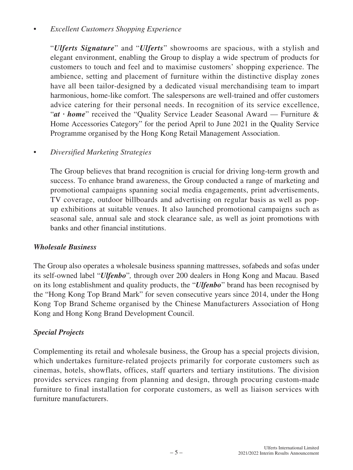## *• Excellent Customers Shopping Experience*

"*Ulferts Signature*" and "*Ulferts*" showrooms are spacious, with a stylish and elegant environment, enabling the Group to display a wide spectrum of products for customers to touch and feel and to maximise customers' shopping experience. The ambience, setting and placement of furniture within the distinctive display zones have all been tailor-designed by a dedicated visual merchandising team to impart harmonious, home-like comfort. The salespersons are well-trained and offer customers advice catering for their personal needs. In recognition of its service excellence, "*at ∙ home*" received the "Quality Service Leader Seasonal Award — Furniture & Home Accessories Category" for the period April to June 2021 in the Quality Service Programme organised by the Hong Kong Retail Management Association.

## *• Diversified Marketing Strategies*

The Group believes that brand recognition is crucial for driving long-term growth and success. To enhance brand awareness, the Group conducted a range of marketing and promotional campaigns spanning social media engagements, print advertisements, TV coverage, outdoor billboards and advertising on regular basis as well as popup exhibitions at suitable venues. It also launched promotional campaigns such as seasonal sale, annual sale and stock clearance sale, as well as joint promotions with banks and other financial institutions.

### *Wholesale Business*

The Group also operates a wholesale business spanning mattresses, sofabeds and sofas under its self-owned label "*Ulfenbo*"*,* through over 200 dealers in Hong Kong and Macau. Based on its long establishment and quality products, the "*Ulfenbo*" brand has been recognised by the "Hong Kong Top Brand Mark" for seven consecutive years since 2014, under the Hong Kong Top Brand Scheme organised by the Chinese Manufacturers Association of Hong Kong and Hong Kong Brand Development Council.

### *Special Projects*

Complementing its retail and wholesale business, the Group has a special projects division, which undertakes furniture-related projects primarily for corporate customers such as cinemas, hotels, showflats, offices, staff quarters and tertiary institutions. The division provides services ranging from planning and design, through procuring custom-made furniture to final installation for corporate customers, as well as liaison services with furniture manufacturers.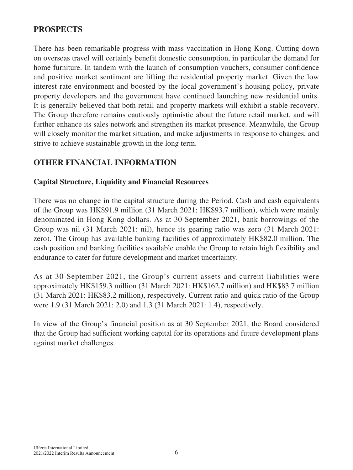# **PROSPECTS**

There has been remarkable progress with mass vaccination in Hong Kong. Cutting down on overseas travel will certainly benefit domestic consumption, in particular the demand for home furniture. In tandem with the launch of consumption vouchers, consumer confidence and positive market sentiment are lifting the residential property market. Given the low interest rate environment and boosted by the local government's housing policy, private property developers and the government have continued launching new residential units. It is generally believed that both retail and property markets will exhibit a stable recovery. The Group therefore remains cautiously optimistic about the future retail market, and will further enhance its sales network and strengthen its market presence. Meanwhile, the Group will closely monitor the market situation, and make adjustments in response to changes, and strive to achieve sustainable growth in the long term.

# **OTHER FINANCIAL INFORMATION**

### **Capital Structure, Liquidity and Financial Resources**

There was no change in the capital structure during the Period. Cash and cash equivalents of the Group was HK\$91.9 million (31 March 2021: HK\$93.7 million), which were mainly denominated in Hong Kong dollars. As at 30 September 2021, bank borrowings of the Group was nil (31 March 2021: nil), hence its gearing ratio was zero (31 March 2021: zero). The Group has available banking facilities of approximately HK\$82.0 million. The cash position and banking facilities available enable the Group to retain high flexibility and endurance to cater for future development and market uncertainty.

As at 30 September 2021, the Group's current assets and current liabilities were approximately HK\$159.3 million (31 March 2021: HK\$162.7 million) and HK\$83.7 million (31 March 2021: HK\$83.2 million), respectively. Current ratio and quick ratio of the Group were 1.9 (31 March 2021: 2.0) and 1.3 (31 March 2021: 1.4), respectively.

In view of the Group's financial position as at 30 September 2021, the Board considered that the Group had sufficient working capital for its operations and future development plans against market challenges.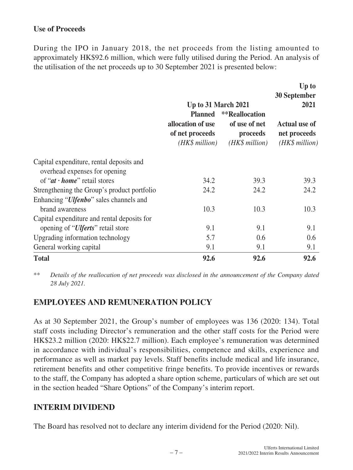### **Use of Proceeds**

During the IPO in January 2018, the net proceeds from the listing amounted to approximately HK\$92.6 million, which were fully utilised during the Period. An analysis of the utilisation of the net proceeds up to 30 September 2021 is presented below:

|                                                                                       |                                                        |                                              | Up to<br>30 September                                  |
|---------------------------------------------------------------------------------------|--------------------------------------------------------|----------------------------------------------|--------------------------------------------------------|
|                                                                                       | <b>Up to 31 March 2021</b><br><b>Planned</b>           | **Reallocation                               | 2021                                                   |
|                                                                                       | allocation of use<br>of net proceeds<br>(HK\$ million) | of use of net<br>proceeds<br>$(HK\$ million) | <b>Actual use of</b><br>net proceeds<br>(HK\$ million) |
| Capital expenditure, rental deposits and<br>overhead expenses for opening             |                                                        |                                              |                                                        |
| of " $at \cdot home$ " retail stores                                                  | 34.2                                                   | 39.3                                         | 39.3                                                   |
| Strengthening the Group's product portfolio<br>Enhancing "Ulfenbo" sales channels and | 24.2                                                   | 24.2                                         | 24.2                                                   |
| brand awareness                                                                       | 10.3                                                   | 10.3                                         | 10.3                                                   |
| Capital expenditure and rental deposits for                                           |                                                        |                                              |                                                        |
| opening of " <i>Ulferts</i> " retail store                                            | 9.1                                                    | 9.1                                          | 9.1                                                    |
| Upgrading information technology                                                      | 5.7                                                    | 0.6                                          | 0.6                                                    |
| General working capital                                                               | 9.1                                                    | 9.1                                          | 9.1                                                    |
| <b>Total</b>                                                                          | 92.6                                                   | 92.6                                         | 92.6                                                   |

\*\* *Details of the reallocation of net proceeds was disclosed in the announcement of the Company dated 28 July 2021.*

# **EMPLOYEES AND REMUNERATION POLICY**

As at 30 September 2021, the Group's number of employees was 136 (2020: 134). Total staff costs including Director's remuneration and the other staff costs for the Period were HK\$23.2 million (2020: HK\$22.7 million). Each employee's remuneration was determined in accordance with individual's responsibilities, competence and skills, experience and performance as well as market pay levels. Staff benefits include medical and life insurance, retirement benefits and other competitive fringe benefits. To provide incentives or rewards to the staff, the Company has adopted a share option scheme, particulars of which are set out in the section headed "Share Options" of the Company's interim report.

# **INTERIM DIVIDEND**

The Board has resolved not to declare any interim dividend for the Period (2020: Nil).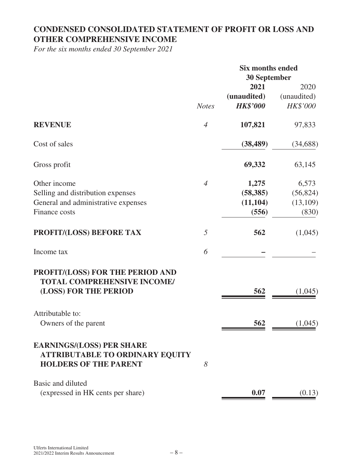# **CONDENSED CONSOLIDATED STATEMENT OF PROFIT OR LOSS AND OTHER COMPREHENSIVE INCOME**

*For the six months ended 30 September 2021*

|                                                                                                            |                | <b>Six months ended</b><br>30 September |                     |
|------------------------------------------------------------------------------------------------------------|----------------|-----------------------------------------|---------------------|
|                                                                                                            |                | 2021<br>(unaudited)                     | 2020<br>(unaudited) |
|                                                                                                            | <b>Notes</b>   | <b>HK\$'000</b>                         | HK\$'000            |
| <b>REVENUE</b>                                                                                             | $\overline{4}$ | 107,821                                 | 97,833              |
| Cost of sales                                                                                              |                | (38, 489)                               | (34, 688)           |
| Gross profit                                                                                               |                | 69,332                                  | 63,145              |
| Other income                                                                                               | $\overline{4}$ | 1,275                                   | 6,573               |
| Selling and distribution expenses                                                                          |                | (58, 385)                               | (56, 824)           |
| General and administrative expenses                                                                        |                | (11, 104)                               | (13,109)            |
| Finance costs                                                                                              |                | (556)                                   | (830)               |
| PROFIT/(LOSS) BEFORE TAX                                                                                   | 5              | 562                                     | (1,045)             |
| Income tax                                                                                                 | 6              |                                         |                     |
| PROFIT/(LOSS) FOR THE PERIOD AND<br><b>TOTAL COMPREHENSIVE INCOME/</b><br>(LOSS) FOR THE PERIOD            |                | 562                                     | (1,045)             |
| Attributable to:                                                                                           |                |                                         |                     |
| Owners of the parent                                                                                       |                | 562                                     | (1,045)             |
| <b>EARNINGS/(LOSS) PER SHARE</b><br><b>ATTRIBUTABLE TO ORDINARY EQUITY</b><br><b>HOLDERS OF THE PARENT</b> | 8              |                                         |                     |
| Basic and diluted<br>(expressed in HK cents per share)                                                     |                | 0.07                                    |                     |
|                                                                                                            |                |                                         | (0.13)              |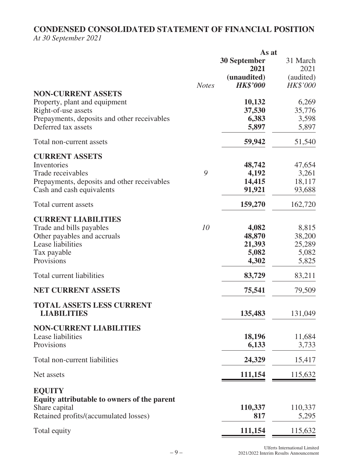# **CONDENSED CONSOLIDATED STATEMENT OF FINANCIAL POSITION** *At 30 September 2021*

|                                             | As at        |                     |           |
|---------------------------------------------|--------------|---------------------|-----------|
|                                             |              | <b>30 September</b> | 31 March  |
|                                             |              | 2021                | 2021      |
|                                             |              | (unaudited)         | (audited) |
|                                             | <b>Notes</b> | <b>HK\$'000</b>     | HK\$'000  |
| <b>NON-CURRENT ASSETS</b>                   |              |                     |           |
| Property, plant and equipment               |              | 10,132              | 6,269     |
| Right-of-use assets                         |              | 37,530              | 35,776    |
|                                             |              |                     |           |
| Prepayments, deposits and other receivables |              | 6,383               | 3,598     |
| Deferred tax assets                         |              | 5,897               | 5,897     |
| Total non-current assets                    |              | 59,942              | 51,540    |
| <b>CURRENT ASSETS</b>                       |              |                     |           |
| Inventories                                 |              | 48,742              | 47,654    |
| Trade receivables                           | 9            | 4,192               | 3,261     |
| Prepayments, deposits and other receivables |              | 14,415              | 18,117    |
| Cash and cash equivalents                   |              | 91,921              | 93,688    |
| Total current assets                        |              | 159,270             | 162,720   |
|                                             |              |                     |           |
| <b>CURRENT LIABILITIES</b>                  |              |                     |           |
| Trade and bills payables                    | 10           | 4,082               | 8,815     |
| Other payables and accruals                 |              | 48,870              | 38,200    |
| Lease liabilities                           |              | 21,393              | 25,289    |
|                                             |              |                     |           |
| Tax payable                                 |              | 5,082               | 5,082     |
| Provisions                                  |              | 4,302               | 5,825     |
| Total current liabilities                   |              | 83,729              | 83,211    |
| <b>NET CURRENT ASSETS</b>                   |              | 75,541              | 79,509    |
|                                             |              |                     |           |
| <b>TOTAL ASSETS LESS CURRENT</b>            |              |                     |           |
| <b>LIABILITIES</b>                          |              | 135,483             | 131,049   |
| <b>NON-CURRENT LIABILITIES</b>              |              |                     |           |
| Lease liabilities                           |              | 18,196              | 11,684    |
| Provisions                                  |              | 6,133               | 3,733     |
|                                             |              |                     |           |
| Total non-current liabilities               |              | 24,329              | 15,417    |
| Net assets                                  |              | 111,154             | 115,632   |
| <b>EQUITY</b>                               |              |                     |           |
| Equity attributable to owners of the parent |              |                     |           |
| Share capital                               |              | 110,337             | 110,337   |
| Retained profits/(accumulated losses)       |              | 817                 | 5,295     |
|                                             |              |                     |           |
| Total equity                                |              | 111,154             | 115,632   |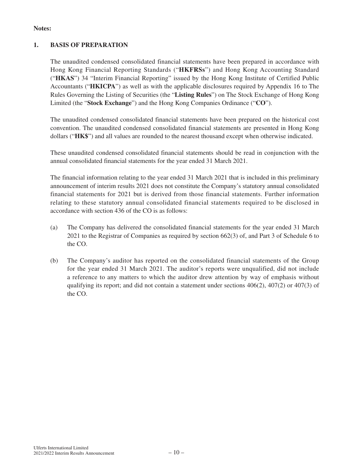#### **Notes:**

#### **1. BASIS OF PREPARATION**

The unaudited condensed consolidated financial statements have been prepared in accordance with Hong Kong Financial Reporting Standards ("**HKFRSs**") and Hong Kong Accounting Standard ("**HKAS**") 34 "Interim Financial Reporting" issued by the Hong Kong Institute of Certified Public Accountants ("**HKICPA**") as well as with the applicable disclosures required by Appendix 16 to The Rules Governing the Listing of Securities (the "**Listing Rules**") on The Stock Exchange of Hong Kong Limited (the "**Stock Exchange**") and the Hong Kong Companies Ordinance ("**CO**").

The unaudited condensed consolidated financial statements have been prepared on the historical cost convention. The unaudited condensed consolidated financial statements are presented in Hong Kong dollars ("**HK\$**") and all values are rounded to the nearest thousand except when otherwise indicated.

These unaudited condensed consolidated financial statements should be read in conjunction with the annual consolidated financial statements for the year ended 31 March 2021.

The financial information relating to the year ended 31 March 2021 that is included in this preliminary announcement of interim results 2021 does not constitute the Company's statutory annual consolidated financial statements for 2021 but is derived from those financial statements. Further information relating to these statutory annual consolidated financial statements required to be disclosed in accordance with section 436 of the CO is as follows:

- (a) The Company has delivered the consolidated financial statements for the year ended 31 March 2021 to the Registrar of Companies as required by section 662(3) of, and Part 3 of Schedule 6 to the CO.
- (b) The Company's auditor has reported on the consolidated financial statements of the Group for the year ended 31 March 2021. The auditor's reports were unqualified, did not include a reference to any matters to which the auditor drew attention by way of emphasis without qualifying its report; and did not contain a statement under sections  $406(2)$ ,  $407(2)$  or  $407(3)$  of the CO.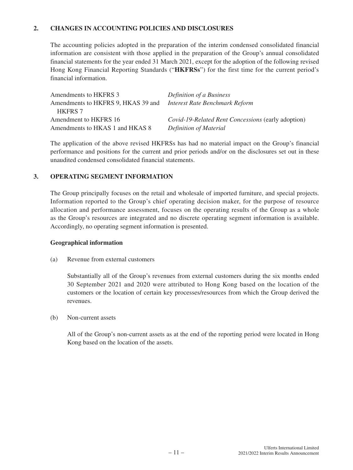#### **2. CHANGES IN ACCOUNTING POLICIES AND DISCLOSURES**

The accounting policies adopted in the preparation of the interim condensed consolidated financial information are consistent with those applied in the preparation of the Group's annual consolidated financial statements for the year ended 31 March 2021, except for the adoption of the following revised Hong Kong Financial Reporting Standards ("**HKFRSs**") for the first time for the current period's financial information.

| Amendments to HKFRS 3              | <i>Definition of a Business</i>                    |
|------------------------------------|----------------------------------------------------|
| Amendments to HKFRS 9, HKAS 39 and | Interest Rate Benchmark Reform                     |
| <b>HKFRS 7</b>                     |                                                    |
| Amendment to HKFRS 16              | Covid-19-Related Rent Concessions (early adoption) |
| Amendments to HKAS 1 and HKAS 8    | Definition of Material                             |

The application of the above revised HKFRSs has had no material impact on the Group's financial performance and positions for the current and prior periods and/or on the disclosures set out in these unaudited condensed consolidated financial statements.

#### **3. OPERATING SEGMENT INFORMATION**

The Group principally focuses on the retail and wholesale of imported furniture, and special projects. Information reported to the Group's chief operating decision maker, for the purpose of resource allocation and performance assessment, focuses on the operating results of the Group as a whole as the Group's resources are integrated and no discrete operating segment information is available. Accordingly, no operating segment information is presented.

#### **Geographical information**

(a) Revenue from external customers

Substantially all of the Group's revenues from external customers during the six months ended 30 September 2021 and 2020 were attributed to Hong Kong based on the location of the customers or the location of certain key processes/resources from which the Group derived the revenues.

#### (b) Non-current assets

All of the Group's non-current assets as at the end of the reporting period were located in Hong Kong based on the location of the assets.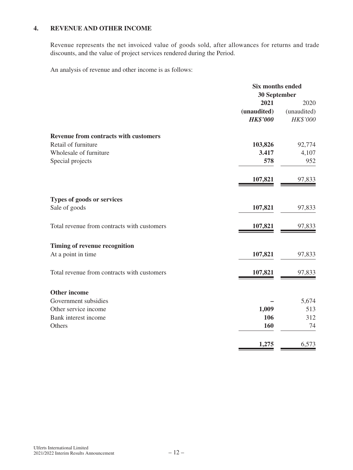### **4. REVENUE AND OTHER INCOME**

Revenue represents the net invoiced value of goods sold, after allowances for returns and trade discounts, and the value of project services rendered during the Period.

An analysis of revenue and other income is as follows:

| 30 September                                           |             |
|--------------------------------------------------------|-------------|
|                                                        |             |
| 2021                                                   | 2020        |
| (unaudited)                                            | (unaudited) |
| <b>HK\$'000</b>                                        | HK\$'000    |
| <b>Revenue from contracts with customers</b>           |             |
| Retail of furniture<br>103,826                         | 92,774      |
| Wholesale of furniture<br>3.417                        | 4,107       |
| Special projects<br>578                                | 952         |
| 107,821                                                | 97,833      |
| Types of goods or services                             |             |
| Sale of goods<br>107,821                               | 97,833      |
| Total revenue from contracts with customers<br>107,821 | 97,833      |
| Timing of revenue recognition                          |             |
| At a point in time<br>107,821                          | 97,833      |
| Total revenue from contracts with customers<br>107,821 | 97,833      |
| <b>Other income</b>                                    |             |
| Government subsidies                                   | 5,674       |
| Other service income<br>1,009                          | 513         |
| Bank interest income<br>106                            | 312         |
| Others<br>160                                          | 74          |
| 1,275                                                  | 6,573       |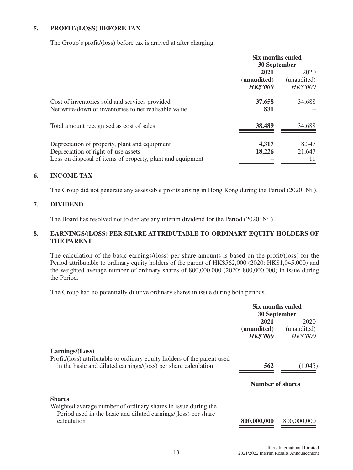#### **5. PROFIT/(LOSS) BEFORE TAX**

The Group's profit/(loss) before tax is arrived at after charging:

|                                                            | <b>Six months ended</b> |                 |
|------------------------------------------------------------|-------------------------|-----------------|
|                                                            | <b>30 September</b>     |                 |
|                                                            | 2021                    | 2020            |
|                                                            | (unaudited)             | (unaudited)     |
|                                                            | <b>HK\$'000</b>         | <b>HK\$'000</b> |
| Cost of inventories sold and services provided             | 37,658                  | 34,688          |
| Net write-down of inventories to net realisable value      | 831                     |                 |
| Total amount recognised as cost of sales                   | 38,489                  | 34,688          |
| Depreciation of property, plant and equipment              | 4,317                   | 8,347           |
| Depreciation of right-of-use assets                        | 18,226                  | 21,647          |
| Loss on disposal of items of property, plant and equipment |                         | 11              |

#### **6. INCOME TAX**

The Group did not generate any assessable profits arising in Hong Kong during the Period (2020: Nil).

#### **7. DIVIDEND**

The Board has resolved not to declare any interim dividend for the Period (2020: Nil).

#### **8. EARNINGS/(LOSS) PER SHARE ATTRIBUTABLE TO ORDINARY EQUITY HOLDERS OF THE PARENT**

The calculation of the basic earnings/(loss) per share amounts is based on the profit/(loss) for the Period attributable to ordinary equity holders of the parent of HK\$562,000 (2020: HK\$1,045,000) and the weighted average number of ordinary shares of 800,000,000 (2020: 800,000,000) in issue during the Period.

The Group had no potentially dilutive ordinary shares in issue during both periods.

|                                                                                                                                                   | Six months ended |                 |
|---------------------------------------------------------------------------------------------------------------------------------------------------|------------------|-----------------|
|                                                                                                                                                   | 30 September     |                 |
|                                                                                                                                                   | 2021             | 2020            |
|                                                                                                                                                   | (unaudited)      | (unaudited)     |
|                                                                                                                                                   | <b>HK\$'000</b>  | <b>HK\$'000</b> |
| Earnings/(Loss)<br>Profit/(loss) attributable to ordinary equity holders of the parent used                                                       |                  |                 |
| in the basic and diluted earnings/(loss) per share calculation                                                                                    | 562              | (1,045)         |
|                                                                                                                                                   | Number of shares |                 |
| <b>Shares</b><br>Weighted average number of ordinary shares in issue during the<br>Period used in the basic and diluted earnings/(loss) per share |                  |                 |
| calculation                                                                                                                                       | 800,000,000      | 800,000,000     |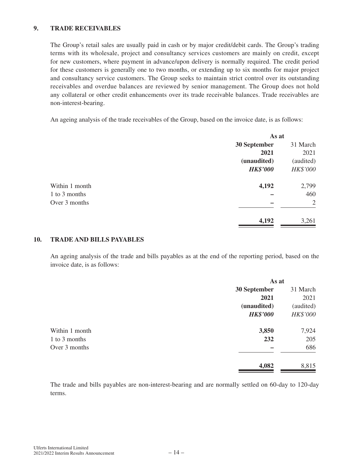#### **9. TRADE RECEIVABLES**

The Group's retail sales are usually paid in cash or by major credit/debit cards. The Group's trading terms with its wholesale, project and consultancy services customers are mainly on credit, except for new customers, where payment in advance/upon delivery is normally required. The credit period for these customers is generally one to two months, or extending up to six months for major project and consultancy service customers. The Group seeks to maintain strict control over its outstanding receivables and overdue balances are reviewed by senior management. The Group does not hold any collateral or other credit enhancements over its trade receivable balances. Trade receivables are non-interest-bearing.

An ageing analysis of the trade receivables of the Group, based on the invoice date, is as follows:

| As at           |           |
|-----------------|-----------|
| 30 September    | 31 March  |
| 2021            | 2021      |
| (unaudited)     | (audited) |
| <b>HK\$'000</b> | HK\$'000  |
| 4,192           | 2,799     |
|                 | 460       |
|                 | 2         |
| 4,192           | 3,261     |
|                 |           |

#### **10. TRADE AND BILLS PAYABLES**

An ageing analysis of the trade and bills payables as at the end of the reporting period, based on the invoice date, is as follows:

|                | As at           |           |
|----------------|-----------------|-----------|
|                | 30 September    | 31 March  |
|                | 2021            | 2021      |
|                | (unaudited)     | (audited) |
|                | <b>HK\$'000</b> | HK\$'000  |
| Within 1 month | 3,850           | 7,924     |
| 1 to 3 months  | 232             | 205       |
| Over 3 months  |                 | 686       |
|                | 4,082           | 8,815     |
|                |                 |           |

The trade and bills payables are non-interest-bearing and are normally settled on 60-day to 120-day terms.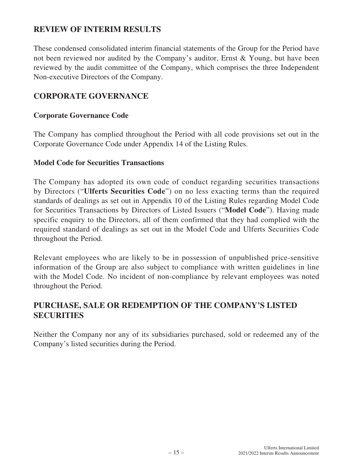# **REVIEW OF INTERIM RESULTS**

These condensed consolidated interim financial statements of the Group for the Period have not been reviewed nor audited by the Company's auditor, Ernst & Young, but have been reviewed by the audit committee of the Company, which comprises the three Independent Non-executive Directors of the Company.

# **CORPORATE GOVERNANCE**

### **Corporate Governance Code**

The Company has complied throughout the Period with all code provisions set out in the Corporate Governance Code under Appendix 14 of the Listing Rules.

### **Model Code for Securities Transactions**

The Company has adopted its own code of conduct regarding securities transactions by Directors ("**Ulferts Securities Code**") on no less exacting terms than the required standards of dealings as set out in Appendix 10 of the Listing Rules regarding Model Code for Securities Transactions by Directors of Listed Issuers ("**Model Code**"). Having made specific enquiry to the Directors, all of them confirmed that they had complied with the required standard of dealings as set out in the Model Code and Ulferts Securities Code throughout the Period.

Relevant employees who are likely to be in possession of unpublished price-sensitive information of the Group are also subject to compliance with written guidelines in line with the Model Code. No incident of non-compliance by relevant employees was noted throughout the Period.

# **PURCHASE, SALE OR REDEMPTION OF THE COMPANY'S LISTED SECURITIES**

Neither the Company nor any of its subsidiaries purchased, sold or redeemed any of the Company's listed securities during the Period.